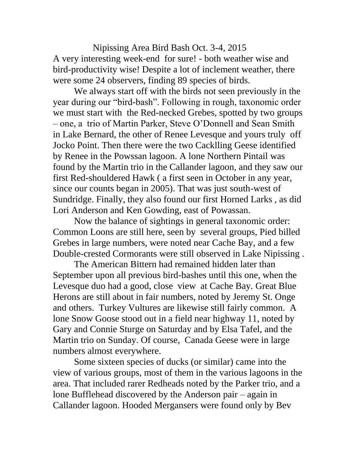Nipissing Area Bird Bash Oct. 3-4, 2015 A very interesting week-end for sure! - both weather wise and bird-productivity wise! Despite a lot of inclement weather, there were some 24 observers, finding 89 species of birds.

We always start off with the birds not seen previously in the year during our "bird-bash". Following in rough, taxonomic order we must start with the Red-necked Grebes, spotted by two groups – one, a trio of Martin Parker, Steve O'Donnell and Sean Smith in Lake Bernard, the other of Renee Levesque and yours truly off Jocko Point. Then there were the two Cacklling Geese identified by Renee in the Powssan lagoon. A lone Northern Pintail was found by the Martin trio in the Callander lagoon, and they saw our first Red-shouldered Hawk ( a first seen in October in any year, since our counts began in 2005). That was just south-west of Sundridge. Finally, they also found our first Horned Larks , as did Lori Anderson and Ken Gowding, east of Powassan.

Now the balance of sightings in general taxonomic order: Common Loons are still here, seen by several groups, Pied billed Grebes in large numbers, were noted near Cache Bay, and a few Double-crested Cormorants were still observed in Lake Nipissing .

The American Bittern had remained hidden later than September upon all previous bird-bashes until this one, when the Levesque duo had a good, close view at Cache Bay. Great Blue Herons are still about in fair numbers, noted by Jeremy St. Onge and others. Turkey Vultures are likewise still fairly common. A lone Snow Goose stood out in a field near highway 11, noted by Gary and Connie Sturge on Saturday and by Elsa Tafel, and the Martin trio on Sunday. Of course, Canada Geese were in large numbers almost everywhere.

Some sixteen species of ducks (or similar) came into the view of various groups, most of them in the various lagoons in the area. That included rarer Redheads noted by the Parker trio, and a lone Bufflehead discovered by the Anderson pair – again in Callander lagoon. Hooded Mergansers were found only by Bev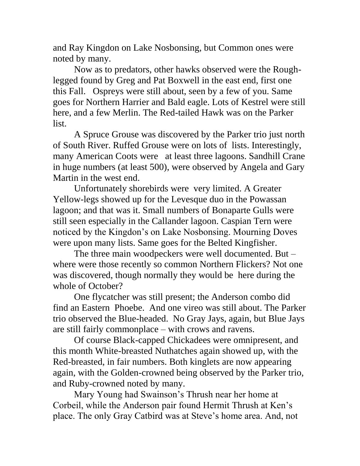and Ray Kingdon on Lake Nosbonsing, but Common ones were noted by many.

Now as to predators, other hawks observed were the Roughlegged found by Greg and Pat Boxwell in the east end, first one this Fall. Ospreys were still about, seen by a few of you. Same goes for Northern Harrier and Bald eagle. Lots of Kestrel were still here, and a few Merlin. The Red-tailed Hawk was on the Parker list.

A Spruce Grouse was discovered by the Parker trio just north of South River. Ruffed Grouse were on lots of lists. Interestingly, many American Coots were at least three lagoons. Sandhill Crane in huge numbers (at least 500), were observed by Angela and Gary Martin in the west end.

Unfortunately shorebirds were very limited. A Greater Yellow-legs showed up for the Levesque duo in the Powassan lagoon; and that was it. Small numbers of Bonaparte Gulls were still seen especially in the Callander lagoon. Caspian Tern were noticed by the Kingdon's on Lake Nosbonsing. Mourning Doves were upon many lists. Same goes for the Belted Kingfisher.

The three main woodpeckers were well documented. But – where were those recently so common Northern Flickers? Not one was discovered, though normally they would be here during the whole of October?

One flycatcher was still present; the Anderson combo did find an Eastern Phoebe. And one vireo was still about. The Parker trio observed the Blue-headed. No Gray Jays, again, but Blue Jays are still fairly commonplace – with crows and ravens.

Of course Black-capped Chickadees were omnipresent, and this month White-breasted Nuthatches again showed up, with the Red-breasted, in fair numbers. Both kinglets are now appearing again, with the Golden-crowned being observed by the Parker trio, and Ruby-crowned noted by many.

Mary Young had Swainson's Thrush near her home at Corbeil, while the Anderson pair found Hermit Thrush at Ken's place. The only Gray Catbird was at Steve's home area. And, not